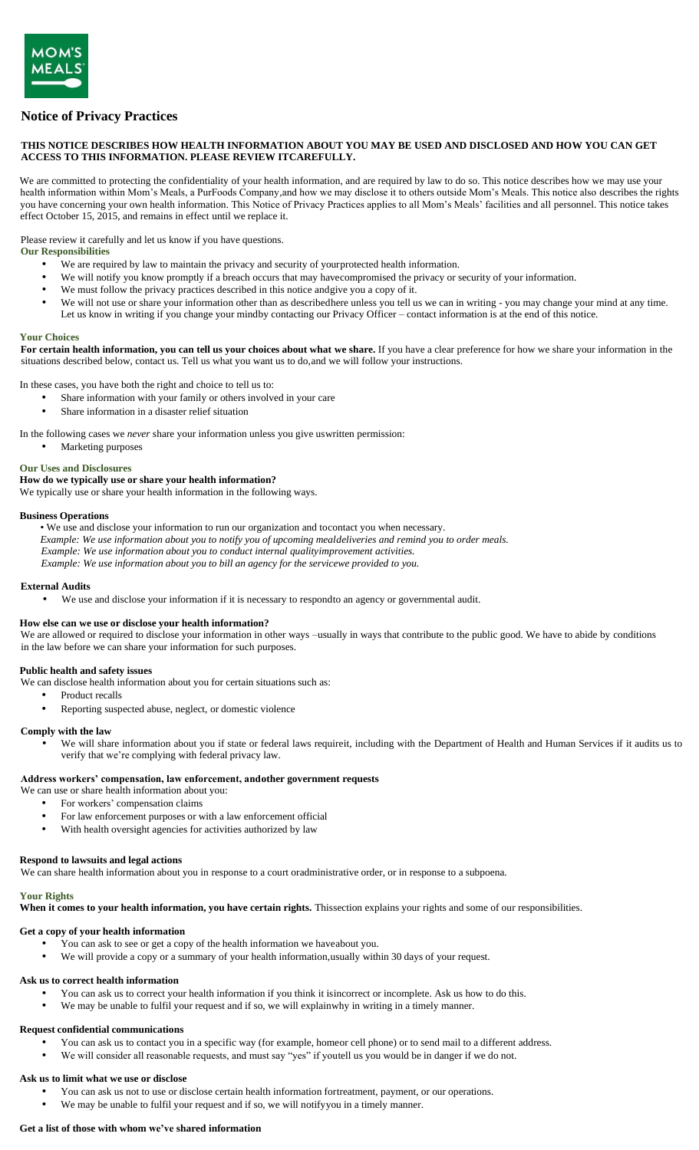# **Notice of Privacy Practices**

### **THIS NOTICE DESCRIBES HOW HEALTH INFORMATION ABOUT YOU MAY BE USED AND DISCLOSED AND HOW YOU CAN GET ACCESS TO THIS INFORMATION. PLEASE REVIEW ITCAREFULLY.**

We are committed to protecting the confidentiality of your health information, and are required by law to do so. This notice describes how we may use your health information within Mom's Meals, a PurFoods Company*,*and how we may disclose it to others outside Mom's Meals. This notice also describes the rights you have concerning your own health information. This Notice of Privacy Practices applies to all Mom's Meals' facilities and all personnel. This notice takes effect October 15, 2015, and remains in effect until we replace it.

Please review it carefully and let us know if you have questions.

**Our Responsibilities**

- We are required by law to maintain the privacy and security of yourprotected health information.
- We will notify you know promptly if a breach occurs that may have compromised the privacy or security of your information.
- We must follow the privacy practices described in this notice andgive you a copy of it.
- We will not use or share your information other than as describedhere unless you tell us we can in writing you may change your mind at any time. Let us know in writing if you change your mindby contacting our Privacy Officer – contact information is at the end of this notice.

#### **Your Choices**

**For certain health information, you can tell us your choices about what we share.** If you have a clear preference for how we share your information in the situations described below, contact us. Tell us what you want us to do,and we will follow your instructions.

In these cases, you have both the right and choice to tell us to:

- Share information with your family or others involved in your care
- Share information in a disaster relief situation

In the following cases we *never* share your information unless you give uswritten permission:

• Marketing purposes

#### **Our Uses and Disclosures**

# **How do we typically use or share your health information?**

We typically use or share your health information in the following ways.

#### **Business Operations**

• We use and disclose your information to run our organization and tocontact you when necessary.

*Example: We use information about you to notify you of upcoming mealdeliveries and remind you to order meals.*

*Example: We use information about you to conduct internal qualityimprovement activities.*

*Example: We use information about you to bill an agency for the servicewe provided to you.*

### **External Audits**

• We use and disclose your information if it is necessary to respondto an agency or governmental audit.

#### **How else can we use or disclose your health information?**

We are allowed or required to disclose your information in other ways –usually in ways that contribute to the public good. We have to abide by conditions in the law before we can share your information for such purposes.

### **Public health and safety issues**

We can disclose health information about you for certain situations such as:

- Product recalls
- Reporting suspected abuse, neglect, or domestic violence

### **Comply with the law**

• We will share information about you if state or federal laws requireit, including with the Department of Health and Human Services if it audits us to verify that we're complying with federal privacy law.

### **Address workers' compensation, law enforcement, andother government requests**

- We can use or share health information about you:
	- For workers' compensation claims
	- For law enforcement purposes or with a law enforcement official
	- With health oversight agencies for activities authorized by law

#### **Respond to lawsuits and legal actions**

We can share health information about you in response to a court oradministrative order, or in response to a subpoena.

### **Your Rights**

**When it comes to your health information, you have certain rights.** Thissection explains your rights and some of our responsibilities.

### **Get a copy of your health information**

- You can ask to see or get a copy of the health information we haveabout you.
- We will provide a copy or a summary of your health information,usually within 30 days of your request.

#### **Ask us to correct health information**

- You can ask us to correct your health information if you think it isincorrect or incomplete. Ask us how to do this.
- We may be unable to fulfil your request and if so, we will explainwhy in writing in a timely manner.

### **Request confidential communications**

- You can ask us to contact you in a specific way (for example, homeor cell phone) or to send mail to a different address.
- We will consider all reasonable requests, and must say "yes" if youtell us you would be in danger if we do not.

#### **Ask us to limit what we use or disclose**

- You can ask us not to use or disclose certain health information fortreatment, payment, or our operations.
- We may be unable to fulfil your request and if so, we will notify you in a timely manner.

#### **Get a list of those with whom we've shared information**